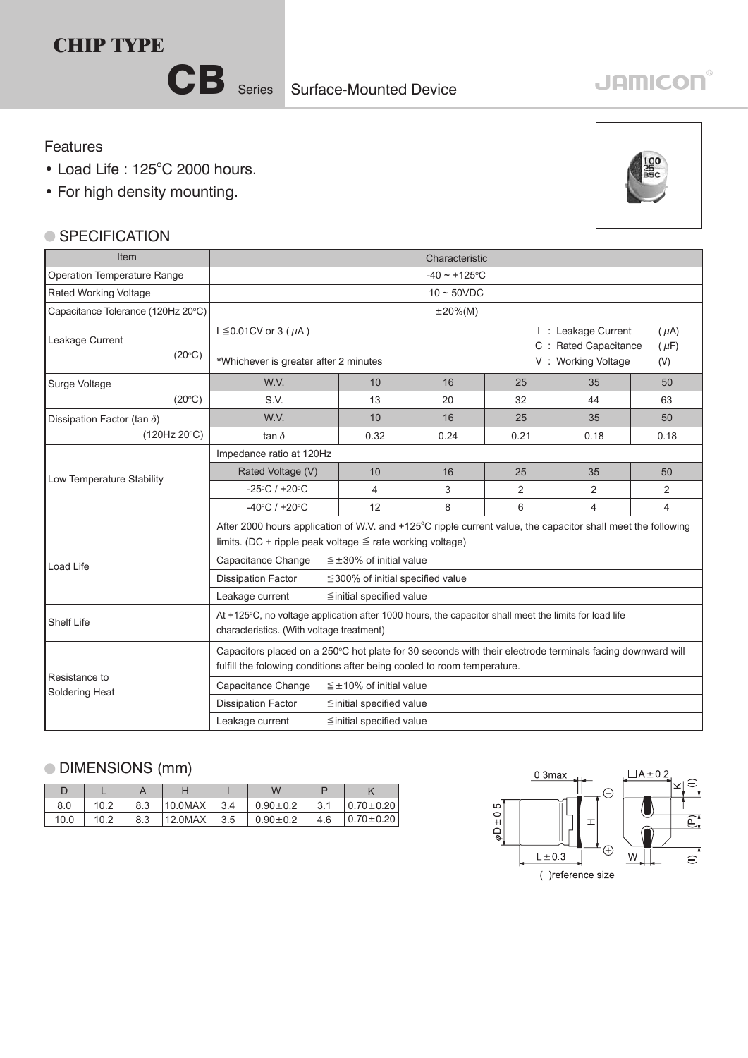CB Series Surface-Mounted Device

## **JAMICON®**

## Features

- $\bullet$  Load Life : 125 $^{\circ}$ C 2000 hours.
- For high density mounting.

## ● SPECIFICATION

| Item                               | Characteristic                                                                                                                                                                       |                                                                                                                                                    |                                        |                                                                                                     |      |      |      |  |  |
|------------------------------------|--------------------------------------------------------------------------------------------------------------------------------------------------------------------------------------|----------------------------------------------------------------------------------------------------------------------------------------------------|----------------------------------------|-----------------------------------------------------------------------------------------------------|------|------|------|--|--|
| <b>Operation Temperature Range</b> | $-40 \sim +125$ °C                                                                                                                                                                   |                                                                                                                                                    |                                        |                                                                                                     |      |      |      |  |  |
| Rated Working Voltage              | $10 \sim 50$ VDC                                                                                                                                                                     |                                                                                                                                                    |                                        |                                                                                                     |      |      |      |  |  |
| Capacitance Tolerance (120Hz 20°C) | $\pm 20\%$ (M)                                                                                                                                                                       |                                                                                                                                                    |                                        |                                                                                                     |      |      |      |  |  |
| Leakage Current<br>$(20^{\circ}C)$ | $I \leq 0.01$ CV or 3 ( $\mu$ A)<br>*Whichever is greater after 2 minutes                                                                                                            |                                                                                                                                                    |                                        | I : Leakage Current<br>$(\mu A)$<br>C : Rated Capacitance<br>$(\mu F)$<br>V: Working Voltage<br>(V) |      |      |      |  |  |
| Surge Voltage                      | W.V.                                                                                                                                                                                 |                                                                                                                                                    | 10                                     | 16                                                                                                  | 25   | 35   | 50   |  |  |
| (20°C)                             | S.V.                                                                                                                                                                                 |                                                                                                                                                    | 13                                     | 20                                                                                                  | 32   | 44   | 63   |  |  |
| Dissipation Factor (tan $\delta$ ) | W.V.                                                                                                                                                                                 |                                                                                                                                                    | 10                                     | 16                                                                                                  | 25   | 35   | 50   |  |  |
| (120Hz 20°C)                       | tan $\delta$                                                                                                                                                                         |                                                                                                                                                    | 0.32                                   | 0.24                                                                                                | 0.21 | 0.18 | 0.18 |  |  |
|                                    | Impedance ratio at 120Hz                                                                                                                                                             |                                                                                                                                                    |                                        |                                                                                                     |      |      |      |  |  |
| Low Temperature Stability          | Rated Voltage (V)                                                                                                                                                                    |                                                                                                                                                    | 10                                     | 16                                                                                                  | 25   | 35   | 50   |  |  |
|                                    | $-25^{\circ}$ C / +20 $^{\circ}$ C                                                                                                                                                   |                                                                                                                                                    | 4                                      | 3                                                                                                   | 2    | 2    | 2    |  |  |
|                                    | $-40^{\circ}$ C / +20 $^{\circ}$ C                                                                                                                                                   |                                                                                                                                                    | 12                                     | 8                                                                                                   | 6    | 4    | 4    |  |  |
|                                    | After 2000 hours application of W.V. and +125°C ripple current value, the capacitor shall meet the following<br>limits. (DC + ripple peak voltage $\leq$ rate working voltage)       |                                                                                                                                                    |                                        |                                                                                                     |      |      |      |  |  |
| Load Life                          | $\leq \pm 30\%$ of initial value<br>Capacitance Change                                                                                                                               |                                                                                                                                                    |                                        |                                                                                                     |      |      |      |  |  |
|                                    | <b>Dissipation Factor</b>                                                                                                                                                            |                                                                                                                                                    | $\leq$ 300% of initial specified value |                                                                                                     |      |      |      |  |  |
|                                    | Leakage current                                                                                                                                                                      |                                                                                                                                                    | $\leq$ initial specified value         |                                                                                                     |      |      |      |  |  |
| <b>Shelf Life</b>                  |                                                                                                                                                                                      | At +125°C, no voltage application after 1000 hours, the capacitor shall meet the limits for load life<br>characteristics. (With voltage treatment) |                                        |                                                                                                     |      |      |      |  |  |
|                                    | Capacitors placed on a 250°C hot plate for 30 seconds with their electrode terminals facing downward will<br>fulfill the folowing conditions after being cooled to room temperature. |                                                                                                                                                    |                                        |                                                                                                     |      |      |      |  |  |
| Resistance to<br>Soldering Heat    | Capacitance Change                                                                                                                                                                   | $\leq \pm 10\%$ of initial value                                                                                                                   |                                        |                                                                                                     |      |      |      |  |  |
|                                    | <b>Dissipation Factor</b>                                                                                                                                                            | $\leq$ initial specified value                                                                                                                     |                                        |                                                                                                     |      |      |      |  |  |
|                                    | Leakage current                                                                                                                                                                      | $\leq$ initial specified value                                                                                                                     |                                        |                                                                                                     |      |      |      |  |  |

## DIMENSIONS (mm)

| 8.0  | 10.2 | 8.3 | 10.0MAX | 3.4 | $0.90 \pm 0.2$ | 3.1 | $0.70 \pm 0.20$ |
|------|------|-----|---------|-----|----------------|-----|-----------------|
| 10.0 | 10.2 | 8.3 | 12.0MAX | 3.5 | $0.90 \pm 0.2$ | 4.6 | $0.70 \pm 0.20$ |